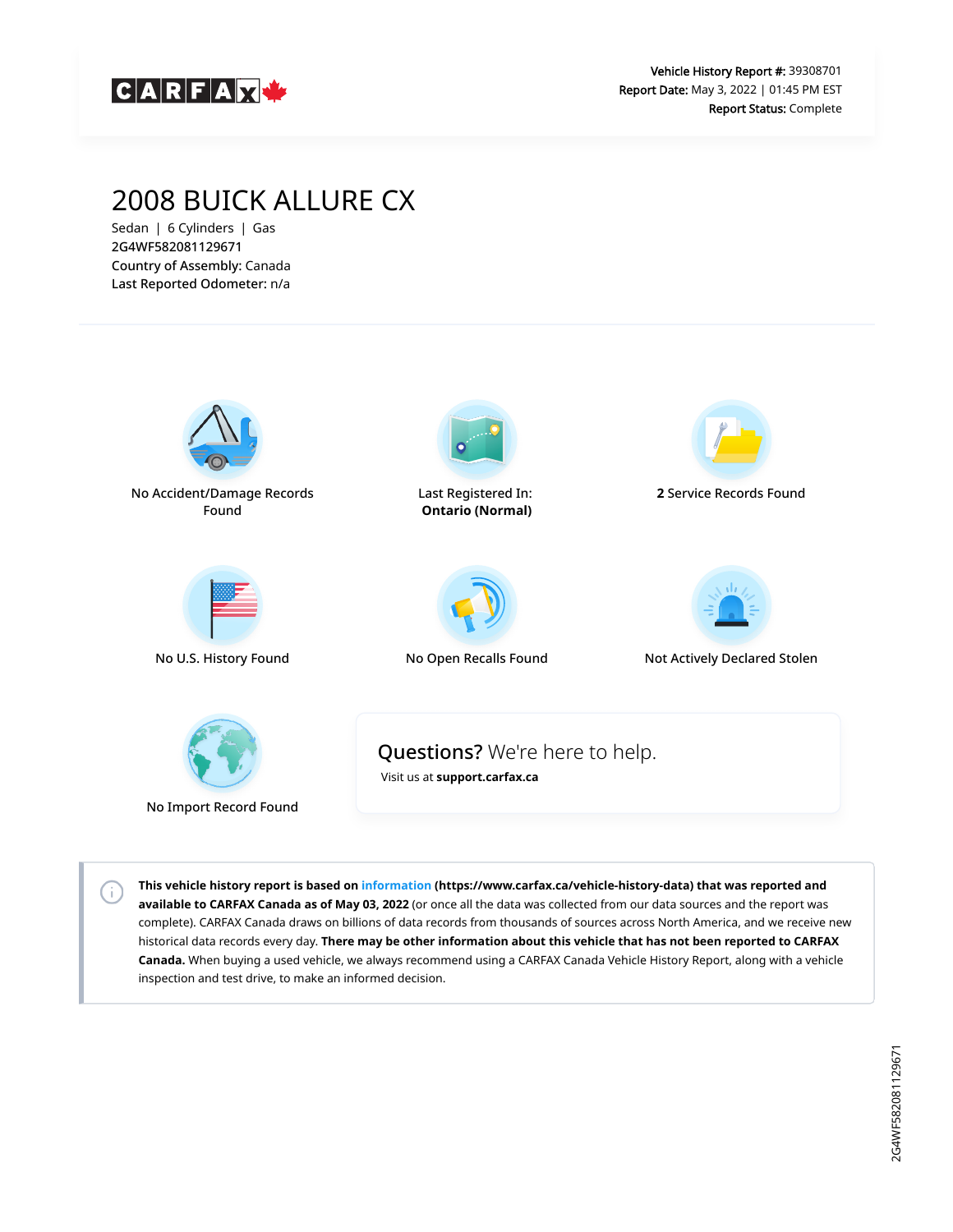

# 2008 BUICK ALLURE CX

Sedan | 6 Cylinders | Gas 2G4WF582081129671 Country of Assembly: Canada Last Reported Odometer: n/a

 $\left( \cdot \right)$ 



**This vehicle history report is based on [information](https://www.carfax.ca/vehicle-history-data) (https://www.carfax.ca/vehicle-history-data) that was reported and available to CARFAX Canada as of May 03, 2022** (or once all the data was collected from our data sources and the report was complete). CARFAX Canada draws on billions of data records from thousands of sources across North America, and we receive new historical data records every day. **There may be other information about this vehicle that has not been reported to CARFAX Canada.** When buying a used vehicle, we always recommend using a CARFAX Canada Vehicle History Report, along with a vehicle inspection and test drive, to make an informed decision.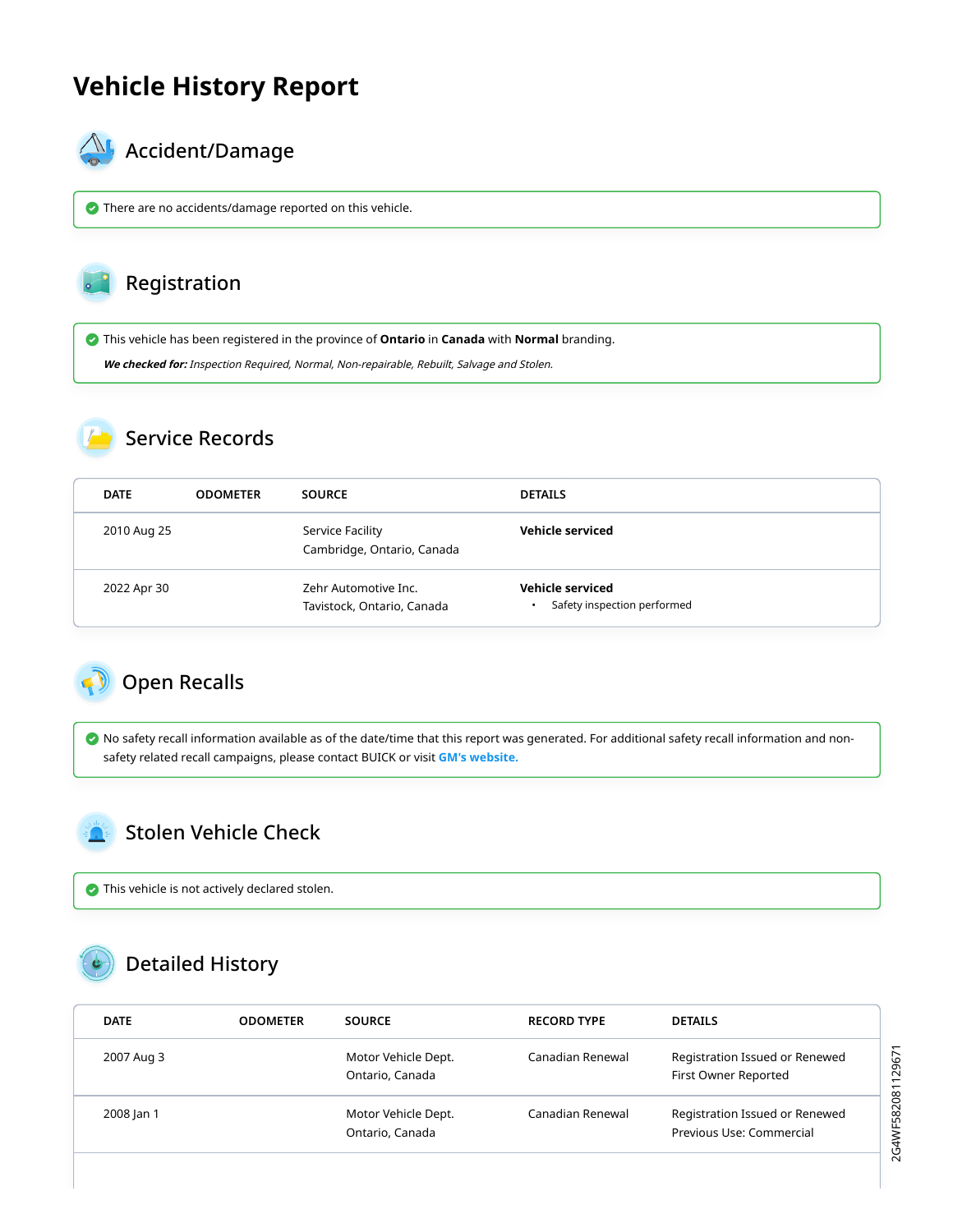# **Vehicle History Report**



### $\mathbb{A}_{\mathbb{A}}$  Accident/Damage

There are no accidents/damage reported on this vehicle.

### Registration

This vehicle has been registered in the province of **Ontario** in **Canada** with **Normal** branding.

**We checked for:** Inspection Required, Normal, Non-repairable, Rebuilt, Salvage and Stolen.

#### Service Records

| <b>DATE</b> | <b>ODOMETER</b> | <b>SOURCE</b>                                      | <b>DETAILS</b>                                  |
|-------------|-----------------|----------------------------------------------------|-------------------------------------------------|
| 2010 Aug 25 |                 | Service Facility<br>Cambridge, Ontario, Canada     | Vehicle serviced                                |
| 2022 Apr 30 |                 | Zehr Automotive Inc.<br>Tavistock, Ontario, Canada | Vehicle serviced<br>Safety inspection performed |

#### <span id="page-1-0"></span>Open Recalls

 No safety recall information available as of the date/time that this report was generated. For additional safety recall information and nonsafety related recall campaigns, please contact BUICK or visit **[GM's website.](https://my.gm.ca/gm/en/recalls#%2F)**

#### <span id="page-1-1"></span>Stolen Vehicle Check

This vehicle is not actively declared stolen.

# Detailed History

| <b>DATE</b> | <b>ODOMETER</b> | <b>SOURCE</b>                          | <b>RECORD TYPE</b> | <b>DETAILS</b>                                             |
|-------------|-----------------|----------------------------------------|--------------------|------------------------------------------------------------|
| 2007 Aug 3  |                 | Motor Vehicle Dept.<br>Ontario, Canada | Canadian Renewal   | Registration Issued or Renewed<br>First Owner Reported     |
| 2008 Jan 1  |                 | Motor Vehicle Dept.<br>Ontario, Canada | Canadian Renewal   | Registration Issued or Renewed<br>Previous Use: Commercial |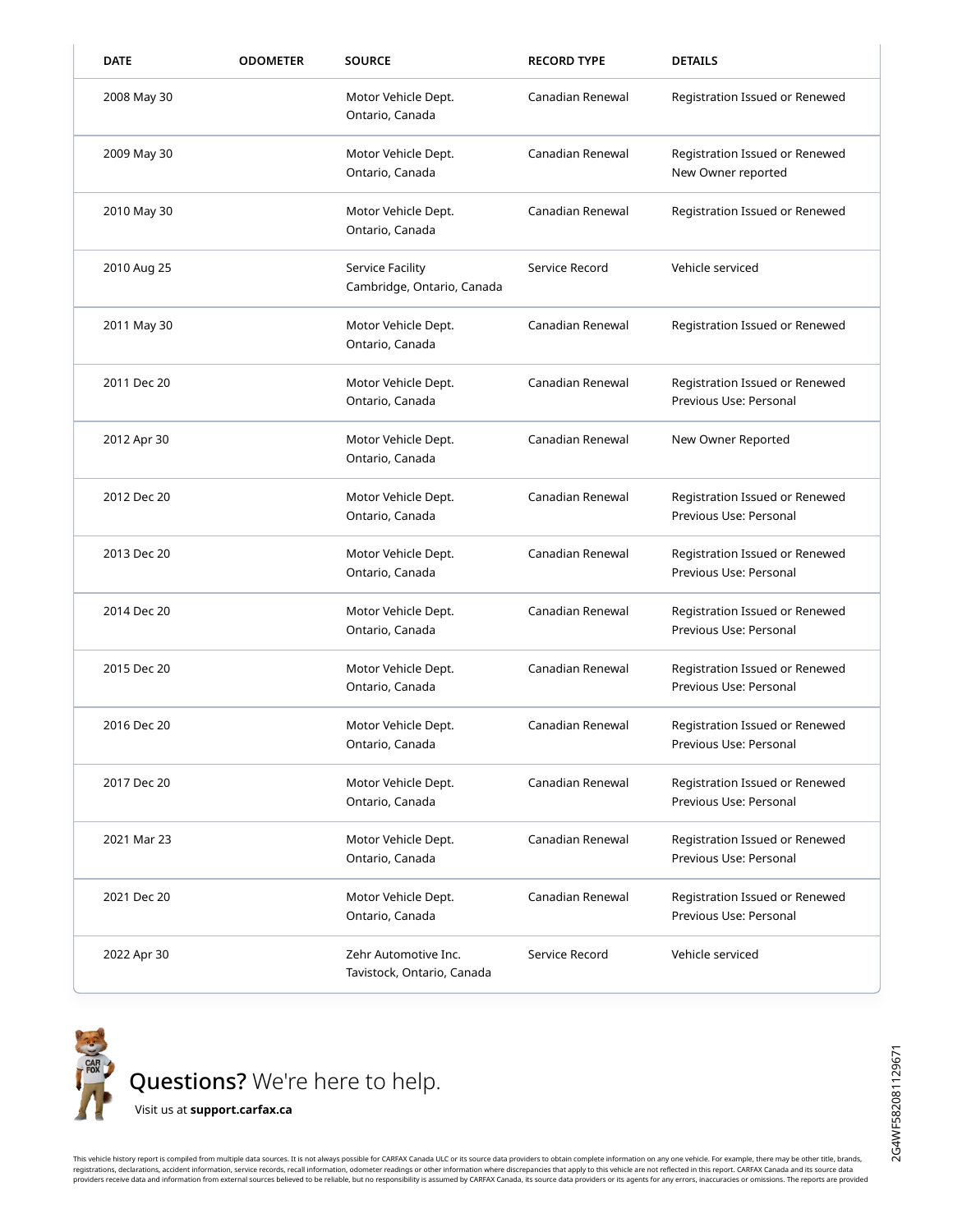| <b>DATE</b> | <b>ODOMETER</b> | <b>SOURCE</b>                                         | <b>RECORD TYPE</b> | <b>DETAILS</b>                                           |
|-------------|-----------------|-------------------------------------------------------|--------------------|----------------------------------------------------------|
| 2008 May 30 |                 | Motor Vehicle Dept.<br>Ontario, Canada                | Canadian Renewal   | Registration Issued or Renewed                           |
| 2009 May 30 |                 | Motor Vehicle Dept.<br>Ontario, Canada                | Canadian Renewal   | Registration Issued or Renewed<br>New Owner reported     |
| 2010 May 30 |                 | Motor Vehicle Dept.<br>Ontario, Canada                | Canadian Renewal   | Registration Issued or Renewed                           |
| 2010 Aug 25 |                 | <b>Service Facility</b><br>Cambridge, Ontario, Canada | Service Record     | Vehicle serviced                                         |
| 2011 May 30 |                 | Motor Vehicle Dept.<br>Ontario, Canada                | Canadian Renewal   | Registration Issued or Renewed                           |
| 2011 Dec 20 |                 | Motor Vehicle Dept.<br>Ontario, Canada                | Canadian Renewal   | Registration Issued or Renewed<br>Previous Use: Personal |
| 2012 Apr 30 |                 | Motor Vehicle Dept.<br>Ontario, Canada                | Canadian Renewal   | New Owner Reported                                       |
| 2012 Dec 20 |                 | Motor Vehicle Dept.<br>Ontario, Canada                | Canadian Renewal   | Registration Issued or Renewed<br>Previous Use: Personal |
| 2013 Dec 20 |                 | Motor Vehicle Dept.<br>Ontario, Canada                | Canadian Renewal   | Registration Issued or Renewed<br>Previous Use: Personal |
| 2014 Dec 20 |                 | Motor Vehicle Dept.<br>Ontario, Canada                | Canadian Renewal   | Registration Issued or Renewed<br>Previous Use: Personal |
| 2015 Dec 20 |                 | Motor Vehicle Dept.<br>Ontario, Canada                | Canadian Renewal   | Registration Issued or Renewed<br>Previous Use: Personal |
| 2016 Dec 20 |                 | Motor Vehicle Dept.<br>Ontario, Canada                | Canadian Renewal   | Registration Issued or Renewed<br>Previous Use: Personal |
| 2017 Dec 20 |                 | Motor Vehicle Dept.<br>Ontario, Canada                | Canadian Renewal   | Registration Issued or Renewed<br>Previous Use: Personal |
| 2021 Mar 23 |                 | Motor Vehicle Dept.<br>Ontario, Canada                | Canadian Renewal   | Registration Issued or Renewed<br>Previous Use: Personal |
| 2021 Dec 20 |                 | Motor Vehicle Dept.<br>Ontario, Canada                | Canadian Renewal   | Registration Issued or Renewed<br>Previous Use: Personal |
| 2022 Apr 30 |                 | Zehr Automotive Inc.<br>Tavistock, Ontario, Canada    | Service Record     | Vehicle serviced                                         |



This vehicle history report is compiled from multiple data sources. It is not always possible for CARFAX Canada ULC or its source data providers to obtain complete information on any one vehicle. For example, there may be registrations, declarations, accident information, service records, recall information, odometer readings or other information where discrepancies that apply to this vehicle are not reflected in this report. CARFAX Canada